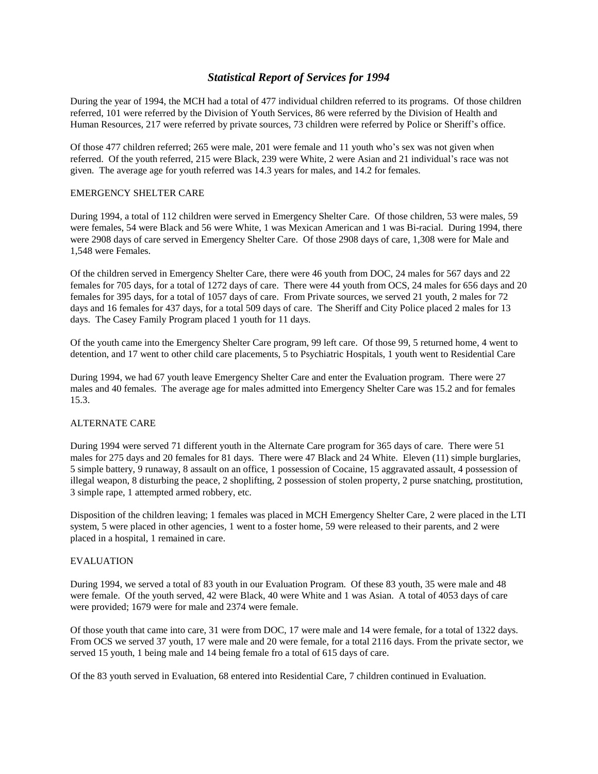# *Statistical Report of Services for 1994*

During the year of 1994, the MCH had a total of 477 individual children referred to its programs. Of those children referred, 101 were referred by the Division of Youth Services, 86 were referred by the Division of Health and Human Resources, 217 were referred by private sources, 73 children were referred by Police or Sheriff's office.

Of those 477 children referred; 265 were male, 201 were female and 11 youth who's sex was not given when referred. Of the youth referred, 215 were Black, 239 were White, 2 were Asian and 21 individual's race was not given. The average age for youth referred was 14.3 years for males, and 14.2 for females.

### EMERGENCY SHELTER CARE

During 1994, a total of 112 children were served in Emergency Shelter Care. Of those children, 53 were males, 59 were females, 54 were Black and 56 were White, 1 was Mexican American and 1 was Bi-racial. During 1994, there were 2908 days of care served in Emergency Shelter Care. Of those 2908 days of care, 1,308 were for Male and 1,548 were Females.

Of the children served in Emergency Shelter Care, there were 46 youth from DOC, 24 males for 567 days and 22 females for 705 days, for a total of 1272 days of care. There were 44 youth from OCS, 24 males for 656 days and 20 females for 395 days, for a total of 1057 days of care. From Private sources, we served 21 youth, 2 males for 72 days and 16 females for 437 days, for a total 509 days of care. The Sheriff and City Police placed 2 males for 13 days. The Casey Family Program placed 1 youth for 11 days.

Of the youth came into the Emergency Shelter Care program, 99 left care. Of those 99, 5 returned home, 4 went to detention, and 17 went to other child care placements, 5 to Psychiatric Hospitals, 1 youth went to Residential Care

During 1994, we had 67 youth leave Emergency Shelter Care and enter the Evaluation program. There were 27 males and 40 females. The average age for males admitted into Emergency Shelter Care was 15.2 and for females 15.3.

#### ALTERNATE CARE

During 1994 were served 71 different youth in the Alternate Care program for 365 days of care. There were 51 males for 275 days and 20 females for 81 days. There were 47 Black and 24 White. Eleven (11) simple burglaries, 5 simple battery, 9 runaway, 8 assault on an office, 1 possession of Cocaine, 15 aggravated assault, 4 possession of illegal weapon, 8 disturbing the peace, 2 shoplifting, 2 possession of stolen property, 2 purse snatching, prostitution, 3 simple rape, 1 attempted armed robbery, etc.

Disposition of the children leaving; 1 females was placed in MCH Emergency Shelter Care, 2 were placed in the LTI system, 5 were placed in other agencies, 1 went to a foster home, 59 were released to their parents, and 2 were placed in a hospital, 1 remained in care.

#### EVALUATION

During 1994, we served a total of 83 youth in our Evaluation Program. Of these 83 youth, 35 were male and 48 were female. Of the youth served, 42 were Black, 40 were White and 1 was Asian. A total of 4053 days of care were provided; 1679 were for male and 2374 were female.

Of those youth that came into care, 31 were from DOC, 17 were male and 14 were female, for a total of 1322 days. From OCS we served 37 youth, 17 were male and 20 were female, for a total 2116 days. From the private sector, we served 15 youth, 1 being male and 14 being female fro a total of 615 days of care.

Of the 83 youth served in Evaluation, 68 entered into Residential Care, 7 children continued in Evaluation.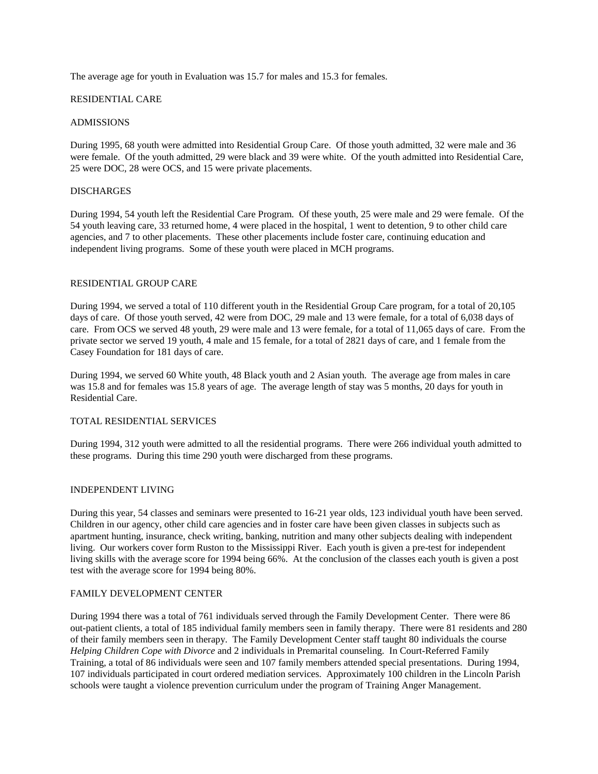The average age for youth in Evaluation was 15.7 for males and 15.3 for females.

#### RESIDENTIAL CARE

#### ADMISSIONS

During 1995, 68 youth were admitted into Residential Group Care. Of those youth admitted, 32 were male and 36 were female. Of the youth admitted, 29 were black and 39 were white. Of the youth admitted into Residential Care, 25 were DOC, 28 were OCS, and 15 were private placements.

#### **DISCHARGES**

During 1994, 54 youth leftthe Residential Care Program. Of these youth, 25 were male and 29 were female. Of the 54 youth leaving care, 33 returned home, 4 were placed in the hospital, 1 went to detention, 9 to other child care agencies, and 7 to other placements. These other placements include foster care, continuing education and independent living programs. Some of these youth were placed in MCH programs.

#### RESIDENTIAL GROUP CARE

During 1994, we served a total of 110 different youth in the Residential Group Care program, for a total of 20,105 days of care. Of those youth served, 42 were from DOC, 29 male and 13 were female, for a total of 6,038 days of care. From OCS we served 48 youth, 29 were male and 13 were female, for a total of 11,065 days of care. From the private sector we served 19 youth, 4 male and 15 female, for a total of 2821 days of care, and 1 female from the Casey Foundation for 181 days of care.

During 1994, we served 60 White youth, 48 Black youth and 2 Asian youth. The average age from males in care was 15.8 and for females was 15.8 years of age. The average length of stay was 5 months, 20 days for youth in Residential Care.

#### TOTAL RESIDENTIAL SERVICES

During 1994, 312 youth were admitted to all the residential programs. There were 266 individual youth admitted to these programs. During this time 290 youth were discharged from these programs.

#### INDEPENDENT LIVING

During this year, 54 classes and seminars were presented to 16-21 year olds, 123 individual youth have been served. Children in our agency, other child care agencies and in foster care have been given classes in subjects such as apartment hunting, insurance, check writing, banking, nutrition and many other subjects dealing with independent living. Our workers cover form Ruston to the Mississippi River. Each youth is given a pre-test for independent living skills with the average score for 1994 being 66%. At the conclusion of the classes each youth is given a post test with the average score for 1994 being 80%.

#### FAMILY DEVELOPMENT CENTER

During 1994 there was a total of 761 individuals served through the Family Development Center. There were 86 out-patient clients, a total of 185 individual family members seen in family therapy. There were 81 residents and 280 of their family members seen in therapy. The Family Development Center staff taught 80 individuals the course *Helping Children Cope with Divorce* and 2 individuals in Premarital counseling. In Court-Referred Family Training, a total of 86 individuals were seen and 107 family members attended special presentations. During 1994, 107 individuals participated in court ordered mediation services. Approximately 100 children in the Lincoln Parish schools were taught a violence prevention curriculum under the program of Training Anger Management.